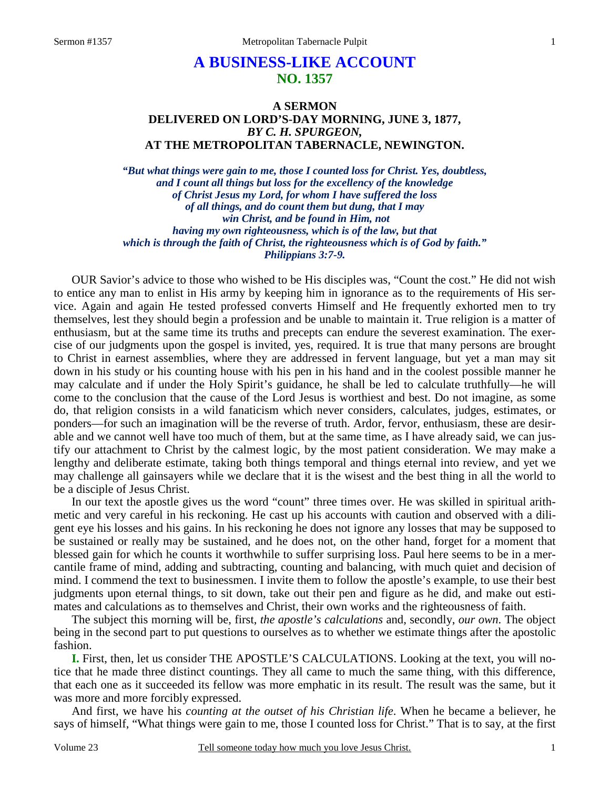## **A BUSINESS-LIKE ACCOUNT NO. 1357**

## **A SERMON DELIVERED ON LORD'S-DAY MORNING, JUNE 3, 1877,**  *BY C. H. SPURGEON,*  **AT THE METROPOLITAN TABERNACLE, NEWINGTON.**

*"But what things were gain to me, those I counted loss for Christ. Yes, doubtless, and I count all things but loss for the excellency of the knowledge of Christ Jesus my Lord, for whom I have suffered the loss of all things, and do count them but dung, that I may win Christ, and be found in Him, not having my own righteousness, which is of the law, but that which is through the faith of Christ, the righteousness which is of God by faith." Philippians 3:7-9.* 

OUR Savior's advice to those who wished to be His disciples was, "Count the cost." He did not wish to entice any man to enlist in His army by keeping him in ignorance as to the requirements of His service. Again and again He tested professed converts Himself and He frequently exhorted men to try themselves, lest they should begin a profession and be unable to maintain it. True religion is a matter of enthusiasm, but at the same time its truths and precepts can endure the severest examination. The exercise of our judgments upon the gospel is invited, yes, required. It is true that many persons are brought to Christ in earnest assemblies, where they are addressed in fervent language, but yet a man may sit down in his study or his counting house with his pen in his hand and in the coolest possible manner he may calculate and if under the Holy Spirit's guidance, he shall be led to calculate truthfully—he will come to the conclusion that the cause of the Lord Jesus is worthiest and best. Do not imagine, as some do, that religion consists in a wild fanaticism which never considers, calculates, judges, estimates, or ponders—for such an imagination will be the reverse of truth. Ardor, fervor, enthusiasm, these are desirable and we cannot well have too much of them, but at the same time, as I have already said, we can justify our attachment to Christ by the calmest logic, by the most patient consideration. We may make a lengthy and deliberate estimate, taking both things temporal and things eternal into review, and yet we may challenge all gainsayers while we declare that it is the wisest and the best thing in all the world to be a disciple of Jesus Christ.

In our text the apostle gives us the word "count" three times over. He was skilled in spiritual arithmetic and very careful in his reckoning. He cast up his accounts with caution and observed with a diligent eye his losses and his gains. In his reckoning he does not ignore any losses that may be supposed to be sustained or really may be sustained, and he does not, on the other hand, forget for a moment that blessed gain for which he counts it worthwhile to suffer surprising loss. Paul here seems to be in a mercantile frame of mind, adding and subtracting, counting and balancing, with much quiet and decision of mind. I commend the text to businessmen. I invite them to follow the apostle's example, to use their best judgments upon eternal things, to sit down, take out their pen and figure as he did, and make out estimates and calculations as to themselves and Christ, their own works and the righteousness of faith.

The subject this morning will be, first, *the apostle's calculations* and, secondly, *our own*. The object being in the second part to put questions to ourselves as to whether we estimate things after the apostolic fashion.

**I.** First, then, let us consider THE APOSTLE'S CALCULATIONS. Looking at the text, you will notice that he made three distinct countings. They all came to much the same thing, with this difference, that each one as it succeeded its fellow was more emphatic in its result. The result was the same, but it was more and more forcibly expressed.

And first, we have his *counting at the outset of his Christian life*. When he became a believer, he says of himself, "What things were gain to me, those I counted loss for Christ." That is to say, at the first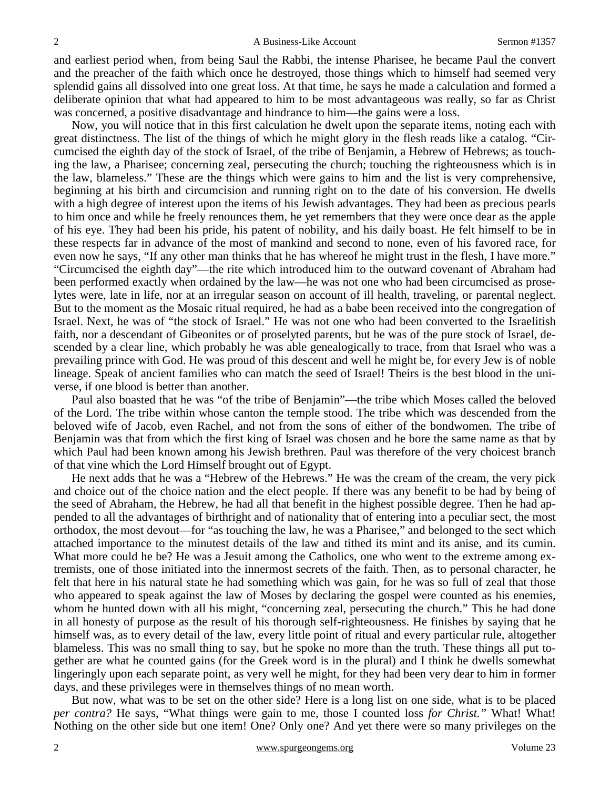and earliest period when, from being Saul the Rabbi, the intense Pharisee, he became Paul the convert and the preacher of the faith which once he destroyed, those things which to himself had seemed very splendid gains all dissolved into one great loss. At that time, he says he made a calculation and formed a deliberate opinion that what had appeared to him to be most advantageous was really, so far as Christ was concerned, a positive disadvantage and hindrance to him—the gains were a loss.

Now, you will notice that in this first calculation he dwelt upon the separate items, noting each with great distinctness. The list of the things of which he might glory in the flesh reads like a catalog. "Circumcised the eighth day of the stock of Israel, of the tribe of Benjamin, a Hebrew of Hebrews; as touching the law, a Pharisee; concerning zeal, persecuting the church; touching the righteousness which is in the law, blameless." These are the things which were gains to him and the list is very comprehensive, beginning at his birth and circumcision and running right on to the date of his conversion. He dwells with a high degree of interest upon the items of his Jewish advantages. They had been as precious pearls to him once and while he freely renounces them, he yet remembers that they were once dear as the apple of his eye. They had been his pride, his patent of nobility, and his daily boast. He felt himself to be in these respects far in advance of the most of mankind and second to none, even of his favored race, for even now he says, "If any other man thinks that he has whereof he might trust in the flesh, I have more." "Circumcised the eighth day"—the rite which introduced him to the outward covenant of Abraham had been performed exactly when ordained by the law—he was not one who had been circumcised as proselytes were, late in life, nor at an irregular season on account of ill health, traveling, or parental neglect. But to the moment as the Mosaic ritual required, he had as a babe been received into the congregation of Israel. Next, he was of "the stock of Israel." He was not one who had been converted to the Israelitish faith, nor a descendant of Gibeonites or of proselyted parents, but he was of the pure stock of Israel, descended by a clear line, which probably he was able genealogically to trace, from that Israel who was a prevailing prince with God. He was proud of this descent and well he might be, for every Jew is of noble lineage. Speak of ancient families who can match the seed of Israel! Theirs is the best blood in the universe, if one blood is better than another.

Paul also boasted that he was "of the tribe of Benjamin"—the tribe which Moses called the beloved of the Lord. The tribe within whose canton the temple stood. The tribe which was descended from the beloved wife of Jacob, even Rachel, and not from the sons of either of the bondwomen. The tribe of Benjamin was that from which the first king of Israel was chosen and he bore the same name as that by which Paul had been known among his Jewish brethren. Paul was therefore of the very choicest branch of that vine which the Lord Himself brought out of Egypt.

He next adds that he was a "Hebrew of the Hebrews." He was the cream of the cream, the very pick and choice out of the choice nation and the elect people. If there was any benefit to be had by being of the seed of Abraham, the Hebrew, he had all that benefit in the highest possible degree. Then he had appended to all the advantages of birthright and of nationality that of entering into a peculiar sect, the most orthodox, the most devout—for "as touching the law, he was a Pharisee," and belonged to the sect which attached importance to the minutest details of the law and tithed its mint and its anise, and its cumin. What more could he be? He was a Jesuit among the Catholics, one who went to the extreme among extremists, one of those initiated into the innermost secrets of the faith. Then, as to personal character, he felt that here in his natural state he had something which was gain, for he was so full of zeal that those who appeared to speak against the law of Moses by declaring the gospel were counted as his enemies, whom he hunted down with all his might, "concerning zeal, persecuting the church." This he had done in all honesty of purpose as the result of his thorough self-righteousness. He finishes by saying that he himself was, as to every detail of the law, every little point of ritual and every particular rule, altogether blameless. This was no small thing to say, but he spoke no more than the truth. These things all put together are what he counted gains (for the Greek word is in the plural) and I think he dwells somewhat lingeringly upon each separate point, as very well he might, for they had been very dear to him in former days, and these privileges were in themselves things of no mean worth.

But now, what was to be set on the other side? Here is a long list on one side, what is to be placed *per contra?* He says, "What things were gain to me, those I counted loss *for Christ."* What! What! Nothing on the other side but one item! One? Only one? And yet there were so many privileges on the

2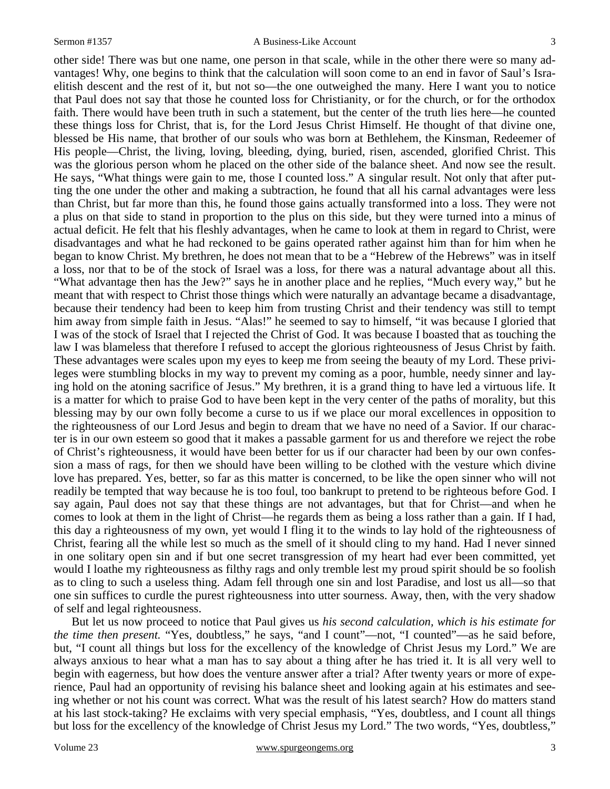other side! There was but one name, one person in that scale, while in the other there were so many advantages! Why, one begins to think that the calculation will soon come to an end in favor of Saul's Israelitish descent and the rest of it, but not so—the one outweighed the many. Here I want you to notice that Paul does not say that those he counted loss for Christianity, or for the church, or for the orthodox faith. There would have been truth in such a statement, but the center of the truth lies here—he counted these things loss for Christ, that is, for the Lord Jesus Christ Himself. He thought of that divine one, blessed be His name, that brother of our souls who was born at Bethlehem, the Kinsman, Redeemer of His people—Christ, the living, loving, bleeding, dying, buried, risen, ascended, glorified Christ. This was the glorious person whom he placed on the other side of the balance sheet. And now see the result. He says, "What things were gain to me, those I counted loss." A singular result. Not only that after putting the one under the other and making a subtraction, he found that all his carnal advantages were less than Christ, but far more than this, he found those gains actually transformed into a loss. They were not a plus on that side to stand in proportion to the plus on this side, but they were turned into a minus of actual deficit. He felt that his fleshly advantages, when he came to look at them in regard to Christ, were disadvantages and what he had reckoned to be gains operated rather against him than for him when he began to know Christ. My brethren, he does not mean that to be a "Hebrew of the Hebrews" was in itself a loss, nor that to be of the stock of Israel was a loss, for there was a natural advantage about all this. "What advantage then has the Jew?" says he in another place and he replies, "Much every way," but he meant that with respect to Christ those things which were naturally an advantage became a disadvantage, because their tendency had been to keep him from trusting Christ and their tendency was still to tempt him away from simple faith in Jesus. "Alas!" he seemed to say to himself, "it was because I gloried that I was of the stock of Israel that I rejected the Christ of God. It was because I boasted that as touching the law I was blameless that therefore I refused to accept the glorious righteousness of Jesus Christ by faith. These advantages were scales upon my eyes to keep me from seeing the beauty of my Lord. These privileges were stumbling blocks in my way to prevent my coming as a poor, humble, needy sinner and laying hold on the atoning sacrifice of Jesus." My brethren, it is a grand thing to have led a virtuous life. It is a matter for which to praise God to have been kept in the very center of the paths of morality, but this blessing may by our own folly become a curse to us if we place our moral excellences in opposition to the righteousness of our Lord Jesus and begin to dream that we have no need of a Savior. If our character is in our own esteem so good that it makes a passable garment for us and therefore we reject the robe of Christ's righteousness, it would have been better for us if our character had been by our own confession a mass of rags, for then we should have been willing to be clothed with the vesture which divine love has prepared. Yes, better, so far as this matter is concerned, to be like the open sinner who will not readily be tempted that way because he is too foul, too bankrupt to pretend to be righteous before God. I say again, Paul does not say that these things are not advantages, but that for Christ—and when he comes to look at them in the light of Christ—he regards them as being a loss rather than a gain. If I had, this day a righteousness of my own, yet would I fling it to the winds to lay hold of the righteousness of Christ, fearing all the while lest so much as the smell of it should cling to my hand. Had I never sinned in one solitary open sin and if but one secret transgression of my heart had ever been committed, yet would I loathe my righteousness as filthy rags and only tremble lest my proud spirit should be so foolish as to cling to such a useless thing. Adam fell through one sin and lost Paradise, and lost us all—so that one sin suffices to curdle the purest righteousness into utter sourness. Away, then, with the very shadow of self and legal righteousness.

But let us now proceed to notice that Paul gives us *his second calculation, which is his estimate for the time then present.* "Yes, doubtless," he says, "and I count"—not, "I counted"—as he said before, but, "I count all things but loss for the excellency of the knowledge of Christ Jesus my Lord." We are always anxious to hear what a man has to say about a thing after he has tried it. It is all very well to begin with eagerness, but how does the venture answer after a trial? After twenty years or more of experience, Paul had an opportunity of revising his balance sheet and looking again at his estimates and seeing whether or not his count was correct. What was the result of his latest search? How do matters stand at his last stock-taking? He exclaims with very special emphasis, "Yes, doubtless, and I count all things but loss for the excellency of the knowledge of Christ Jesus my Lord." The two words, "Yes, doubtless,"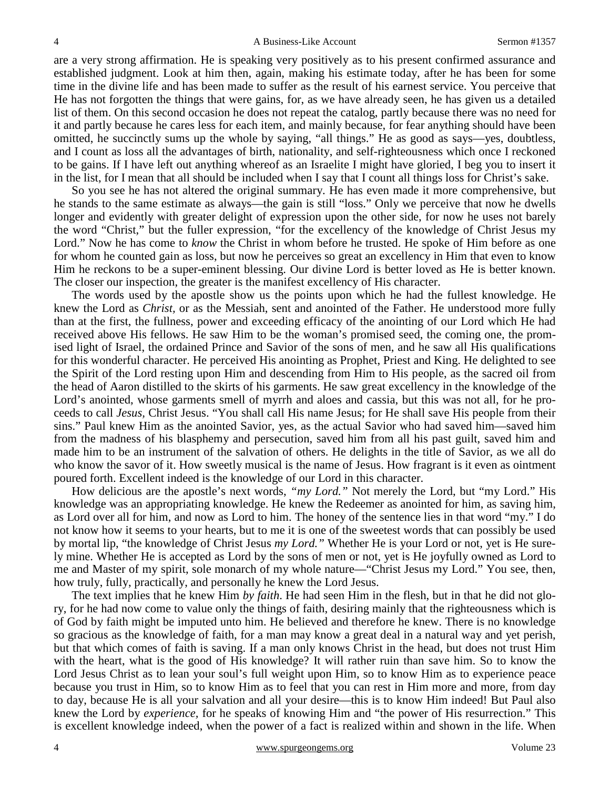are a very strong affirmation. He is speaking very positively as to his present confirmed assurance and established judgment. Look at him then, again, making his estimate today, after he has been for some time in the divine life and has been made to suffer as the result of his earnest service. You perceive that He has not forgotten the things that were gains, for, as we have already seen, he has given us a detailed list of them. On this second occasion he does not repeat the catalog, partly because there was no need for it and partly because he cares less for each item, and mainly because, for fear anything should have been omitted, he succinctly sums up the whole by saying, "all things." He as good as says—yes, doubtless, and I count as loss all the advantages of birth, nationality, and self-righteousness which once I reckoned to be gains. If I have left out anything whereof as an Israelite I might have gloried, I beg you to insert it in the list, for I mean that all should be included when I say that I count all things loss for Christ's sake.

So you see he has not altered the original summary. He has even made it more comprehensive, but he stands to the same estimate as always—the gain is still "loss." Only we perceive that now he dwells longer and evidently with greater delight of expression upon the other side, for now he uses not barely the word "Christ," but the fuller expression, "for the excellency of the knowledge of Christ Jesus my Lord." Now he has come to *know* the Christ in whom before he trusted. He spoke of Him before as one for whom he counted gain as loss, but now he perceives so great an excellency in Him that even to know Him he reckons to be a super-eminent blessing. Our divine Lord is better loved as He is better known. The closer our inspection, the greater is the manifest excellency of His character.

The words used by the apostle show us the points upon which he had the fullest knowledge. He knew the Lord as *Christ,* or as the Messiah, sent and anointed of the Father. He understood more fully than at the first, the fullness, power and exceeding efficacy of the anointing of our Lord which He had received above His fellows. He saw Him to be the woman's promised seed, the coming one, the promised light of Israel, the ordained Prince and Savior of the sons of men, and he saw all His qualifications for this wonderful character. He perceived His anointing as Prophet, Priest and King. He delighted to see the Spirit of the Lord resting upon Him and descending from Him to His people, as the sacred oil from the head of Aaron distilled to the skirts of his garments. He saw great excellency in the knowledge of the Lord's anointed, whose garments smell of myrrh and aloes and cassia, but this was not all, for he proceeds to call *Jesus,* Christ Jesus. "You shall call His name Jesus; for He shall save His people from their sins." Paul knew Him as the anointed Savior, yes, as the actual Savior who had saved him—saved him from the madness of his blasphemy and persecution, saved him from all his past guilt, saved him and made him to be an instrument of the salvation of others. He delights in the title of Savior, as we all do who know the savor of it. How sweetly musical is the name of Jesus. How fragrant is it even as ointment poured forth. Excellent indeed is the knowledge of our Lord in this character.

How delicious are the apostle's next words, *"my Lord."* Not merely the Lord, but "my Lord." His knowledge was an appropriating knowledge. He knew the Redeemer as anointed for him, as saving him, as Lord over all for him, and now as Lord to him. The honey of the sentence lies in that word "my." I do not know how it seems to your hearts, but to me it is one of the sweetest words that can possibly be used by mortal lip, "the knowledge of Christ Jesus *my Lord."* Whether He is your Lord or not, yet is He surely mine. Whether He is accepted as Lord by the sons of men or not, yet is He joyfully owned as Lord to me and Master of my spirit, sole monarch of my whole nature—"Christ Jesus my Lord." You see, then, how truly, fully, practically, and personally he knew the Lord Jesus.

The text implies that he knew Him *by faith*. He had seen Him in the flesh, but in that he did not glory, for he had now come to value only the things of faith, desiring mainly that the righteousness which is of God by faith might be imputed unto him. He believed and therefore he knew. There is no knowledge so gracious as the knowledge of faith, for a man may know a great deal in a natural way and yet perish, but that which comes of faith is saving. If a man only knows Christ in the head, but does not trust Him with the heart, what is the good of His knowledge? It will rather ruin than save him. So to know the Lord Jesus Christ as to lean your soul's full weight upon Him, so to know Him as to experience peace because you trust in Him, so to know Him as to feel that you can rest in Him more and more, from day to day, because He is all your salvation and all your desire—this is to know Him indeed! But Paul also knew the Lord by *experience,* for he speaks of knowing Him and "the power of His resurrection." This is excellent knowledge indeed, when the power of a fact is realized within and shown in the life. When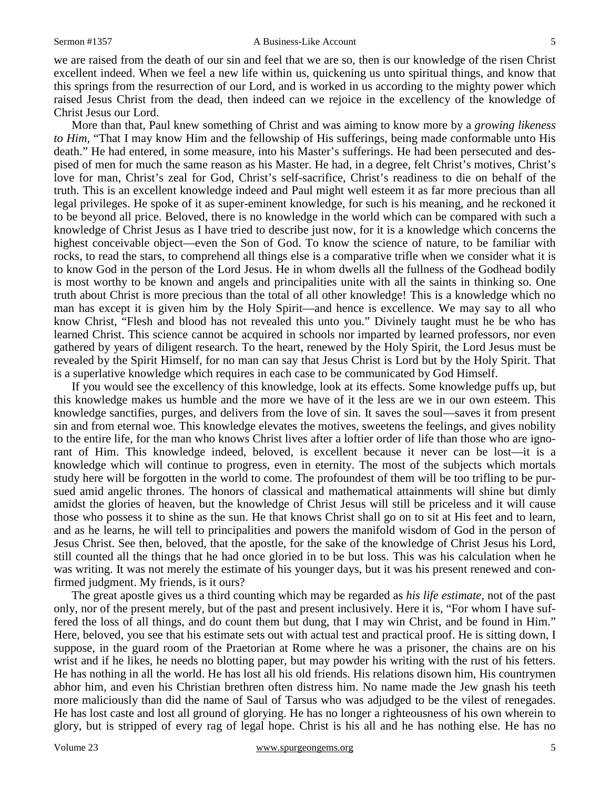we are raised from the death of our sin and feel that we are so, then is our knowledge of the risen Christ excellent indeed. When we feel a new life within us, quickening us unto spiritual things, and know that this springs from the resurrection of our Lord, and is worked in us according to the mighty power which raised Jesus Christ from the dead, then indeed can we rejoice in the excellency of the knowledge of Christ Jesus our Lord.

More than that, Paul knew something of Christ and was aiming to know more by a *growing likeness to Him,* "That I may know Him and the fellowship of His sufferings, being made conformable unto His death." He had entered, in some measure, into his Master's sufferings. He had been persecuted and despised of men for much the same reason as his Master. He had, in a degree, felt Christ's motives, Christ's love for man, Christ's zeal for God, Christ's self-sacrifice, Christ's readiness to die on behalf of the truth. This is an excellent knowledge indeed and Paul might well esteem it as far more precious than all legal privileges. He spoke of it as super-eminent knowledge, for such is his meaning, and he reckoned it to be beyond all price. Beloved, there is no knowledge in the world which can be compared with such a knowledge of Christ Jesus as I have tried to describe just now, for it is a knowledge which concerns the highest conceivable object—even the Son of God. To know the science of nature, to be familiar with rocks, to read the stars, to comprehend all things else is a comparative trifle when we consider what it is to know God in the person of the Lord Jesus. He in whom dwells all the fullness of the Godhead bodily is most worthy to be known and angels and principalities unite with all the saints in thinking so. One truth about Christ is more precious than the total of all other knowledge! This is a knowledge which no man has except it is given him by the Holy Spirit—and hence is excellence. We may say to all who know Christ, "Flesh and blood has not revealed this unto you." Divinely taught must he be who has learned Christ. This science cannot be acquired in schools nor imparted by learned professors, nor even gathered by years of diligent research. To the heart, renewed by the Holy Spirit, the Lord Jesus must be revealed by the Spirit Himself, for no man can say that Jesus Christ is Lord but by the Holy Spirit. That is a superlative knowledge which requires in each case to be communicated by God Himself.

If you would see the excellency of this knowledge, look at its effects. Some knowledge puffs up, but this knowledge makes us humble and the more we have of it the less are we in our own esteem. This knowledge sanctifies, purges, and delivers from the love of sin. It saves the soul—saves it from present sin and from eternal woe. This knowledge elevates the motives, sweetens the feelings, and gives nobility to the entire life, for the man who knows Christ lives after a loftier order of life than those who are ignorant of Him. This knowledge indeed, beloved, is excellent because it never can be lost—it is a knowledge which will continue to progress, even in eternity. The most of the subjects which mortals study here will be forgotten in the world to come. The profoundest of them will be too trifling to be pursued amid angelic thrones. The honors of classical and mathematical attainments will shine but dimly amidst the glories of heaven, but the knowledge of Christ Jesus will still be priceless and it will cause those who possess it to shine as the sun. He that knows Christ shall go on to sit at His feet and to learn, and as he learns, he will tell to principalities and powers the manifold wisdom of God in the person of Jesus Christ. See then, beloved, that the apostle, for the sake of the knowledge of Christ Jesus his Lord, still counted all the things that he had once gloried in to be but loss. This was his calculation when he was writing. It was not merely the estimate of his younger days, but it was his present renewed and confirmed judgment. My friends, is it ours?

The great apostle gives us a third counting which may be regarded as *his life estimate,* not of the past only, nor of the present merely, but of the past and present inclusively. Here it is, "For whom I have suffered the loss of all things, and do count them but dung, that I may win Christ, and be found in Him." Here, beloved, you see that his estimate sets out with actual test and practical proof. He is sitting down, I suppose, in the guard room of the Praetorian at Rome where he was a prisoner, the chains are on his wrist and if he likes, he needs no blotting paper, but may powder his writing with the rust of his fetters. He has nothing in all the world. He has lost all his old friends. His relations disown him, His countrymen abhor him, and even his Christian brethren often distress him. No name made the Jew gnash his teeth more maliciously than did the name of Saul of Tarsus who was adjudged to be the vilest of renegades. He has lost caste and lost all ground of glorying. He has no longer a righteousness of his own wherein to glory, but is stripped of every rag of legal hope. Christ is his all and he has nothing else. He has no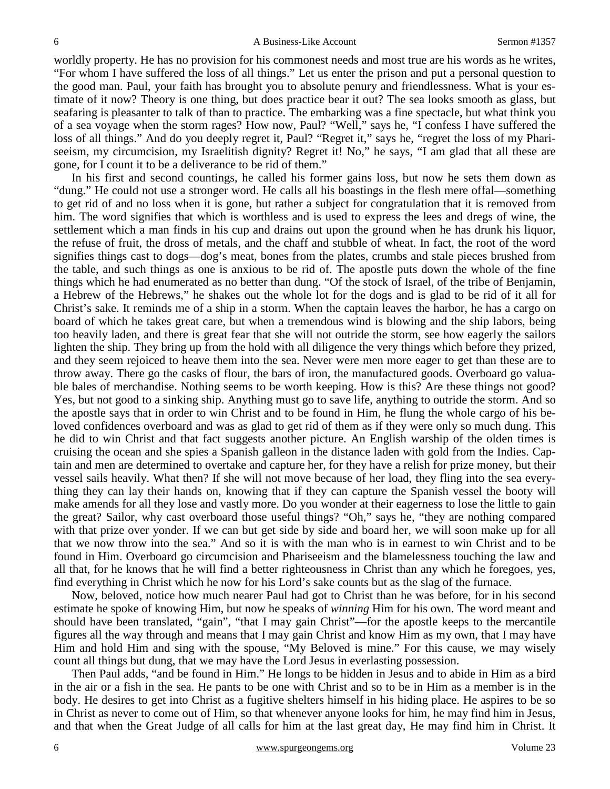worldly property. He has no provision for his commonest needs and most true are his words as he writes, "For whom I have suffered the loss of all things." Let us enter the prison and put a personal question to the good man. Paul, your faith has brought you to absolute penury and friendlessness. What is your estimate of it now? Theory is one thing, but does practice bear it out? The sea looks smooth as glass, but seafaring is pleasanter to talk of than to practice. The embarking was a fine spectacle, but what think you of a sea voyage when the storm rages? How now, Paul? "Well," says he, "I confess I have suffered the loss of all things." And do you deeply regret it, Paul? "Regret it," says he, "regret the loss of my Phariseeism, my circumcision, my Israelitish dignity? Regret it! No," he says, "I am glad that all these are gone, for I count it to be a deliverance to be rid of them."

In his first and second countings, he called his former gains loss, but now he sets them down as "dung." He could not use a stronger word. He calls all his boastings in the flesh mere offal—something to get rid of and no loss when it is gone, but rather a subject for congratulation that it is removed from him. The word signifies that which is worthless and is used to express the lees and dregs of wine, the settlement which a man finds in his cup and drains out upon the ground when he has drunk his liquor, the refuse of fruit, the dross of metals, and the chaff and stubble of wheat. In fact, the root of the word signifies things cast to dogs—dog's meat, bones from the plates, crumbs and stale pieces brushed from the table, and such things as one is anxious to be rid of. The apostle puts down the whole of the fine things which he had enumerated as no better than dung. "Of the stock of Israel, of the tribe of Benjamin, a Hebrew of the Hebrews," he shakes out the whole lot for the dogs and is glad to be rid of it all for Christ's sake. It reminds me of a ship in a storm. When the captain leaves the harbor, he has a cargo on board of which he takes great care, but when a tremendous wind is blowing and the ship labors, being too heavily laden, and there is great fear that she will not outride the storm, see how eagerly the sailors lighten the ship. They bring up from the hold with all diligence the very things which before they prized, and they seem rejoiced to heave them into the sea. Never were men more eager to get than these are to throw away. There go the casks of flour, the bars of iron, the manufactured goods. Overboard go valuable bales of merchandise. Nothing seems to be worth keeping. How is this? Are these things not good? Yes, but not good to a sinking ship. Anything must go to save life, anything to outride the storm. And so the apostle says that in order to win Christ and to be found in Him, he flung the whole cargo of his beloved confidences overboard and was as glad to get rid of them as if they were only so much dung. This he did to win Christ and that fact suggests another picture. An English warship of the olden times is cruising the ocean and she spies a Spanish galleon in the distance laden with gold from the Indies. Captain and men are determined to overtake and capture her, for they have a relish for prize money, but their vessel sails heavily. What then? If she will not move because of her load, they fling into the sea everything they can lay their hands on, knowing that if they can capture the Spanish vessel the booty will make amends for all they lose and vastly more. Do you wonder at their eagerness to lose the little to gain the great? Sailor, why cast overboard those useful things? "Oh," says he, "they are nothing compared with that prize over yonder. If we can but get side by side and board her, we will soon make up for all that we now throw into the sea." And so it is with the man who is in earnest to win Christ and to be found in Him. Overboard go circumcision and Phariseeism and the blamelessness touching the law and all that, for he knows that he will find a better righteousness in Christ than any which he foregoes, yes, find everything in Christ which he now for his Lord's sake counts but as the slag of the furnace.

Now, beloved, notice how much nearer Paul had got to Christ than he was before, for in his second estimate he spoke of knowing Him, but now he speaks of *winning* Him for his own. The word meant and should have been translated, "gain", "that I may gain Christ"—for the apostle keeps to the mercantile figures all the way through and means that I may gain Christ and know Him as my own, that I may have Him and hold Him and sing with the spouse, "My Beloved is mine." For this cause, we may wisely count all things but dung, that we may have the Lord Jesus in everlasting possession.

Then Paul adds, "and be found in Him." He longs to be hidden in Jesus and to abide in Him as a bird in the air or a fish in the sea. He pants to be one with Christ and so to be in Him as a member is in the body. He desires to get into Christ as a fugitive shelters himself in his hiding place. He aspires to be so in Christ as never to come out of Him, so that whenever anyone looks for him, he may find him in Jesus, and that when the Great Judge of all calls for him at the last great day, He may find him in Christ. It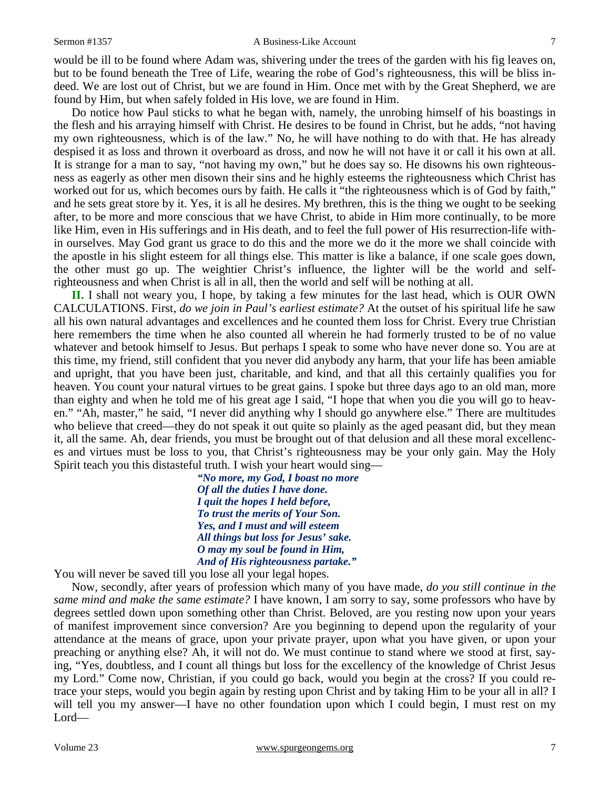would be ill to be found where Adam was, shivering under the trees of the garden with his fig leaves on, but to be found beneath the Tree of Life, wearing the robe of God's righteousness, this will be bliss indeed. We are lost out of Christ, but we are found in Him. Once met with by the Great Shepherd, we are found by Him, but when safely folded in His love, we are found in Him.

Do notice how Paul sticks to what he began with, namely, the unrobing himself of his boastings in the flesh and his arraying himself with Christ. He desires to be found in Christ, but he adds, "not having my own righteousness, which is of the law." No, he will have nothing to do with that. He has already despised it as loss and thrown it overboard as dross, and now he will not have it or call it his own at all. It is strange for a man to say, "not having my own," but he does say so. He disowns his own righteousness as eagerly as other men disown their sins and he highly esteems the righteousness which Christ has worked out for us, which becomes ours by faith. He calls it "the righteousness which is of God by faith," and he sets great store by it. Yes, it is all he desires. My brethren, this is the thing we ought to be seeking after, to be more and more conscious that we have Christ, to abide in Him more continually, to be more like Him, even in His sufferings and in His death, and to feel the full power of His resurrection-life within ourselves. May God grant us grace to do this and the more we do it the more we shall coincide with the apostle in his slight esteem for all things else. This matter is like a balance, if one scale goes down, the other must go up. The weightier Christ's influence, the lighter will be the world and selfrighteousness and when Christ is all in all, then the world and self will be nothing at all.

**II.** I shall not weary you, I hope, by taking a few minutes for the last head, which is OUR OWN CALCULATIONS. First, *do we join in Paul's earliest estimate?* At the outset of his spiritual life he saw all his own natural advantages and excellences and he counted them loss for Christ. Every true Christian here remembers the time when he also counted all wherein he had formerly trusted to be of no value whatever and betook himself to Jesus. But perhaps I speak to some who have never done so. You are at this time, my friend, still confident that you never did anybody any harm, that your life has been amiable and upright, that you have been just, charitable, and kind, and that all this certainly qualifies you for heaven. You count your natural virtues to be great gains. I spoke but three days ago to an old man, more than eighty and when he told me of his great age I said, "I hope that when you die you will go to heaven." "Ah, master," he said, "I never did anything why I should go anywhere else." There are multitudes who believe that creed—they do not speak it out quite so plainly as the aged peasant did, but they mean it, all the same. Ah, dear friends, you must be brought out of that delusion and all these moral excellences and virtues must be loss to you, that Christ's righteousness may be your only gain. May the Holy Spirit teach you this distasteful truth. I wish your heart would sing—

> *"No more, my God, I boast no more Of all the duties I have done. I quit the hopes I held before, To trust the merits of Your Son. Yes, and I must and will esteem All things but loss for Jesus' sake. O may my soul be found in Him, And of His righteousness partake."*

You will never be saved till you lose all your legal hopes.

Now, secondly, after years of profession which many of you have made, *do you still continue in the same mind and make the same estimate?* I have known, I am sorry to say, some professors who have by degrees settled down upon something other than Christ. Beloved, are you resting now upon your years of manifest improvement since conversion? Are you beginning to depend upon the regularity of your attendance at the means of grace, upon your private prayer, upon what you have given, or upon your preaching or anything else? Ah, it will not do. We must continue to stand where we stood at first, saying, "Yes, doubtless, and I count all things but loss for the excellency of the knowledge of Christ Jesus my Lord." Come now, Christian, if you could go back, would you begin at the cross? If you could retrace your steps, would you begin again by resting upon Christ and by taking Him to be your all in all? I will tell you my answer—I have no other foundation upon which I could begin, I must rest on my Lord—